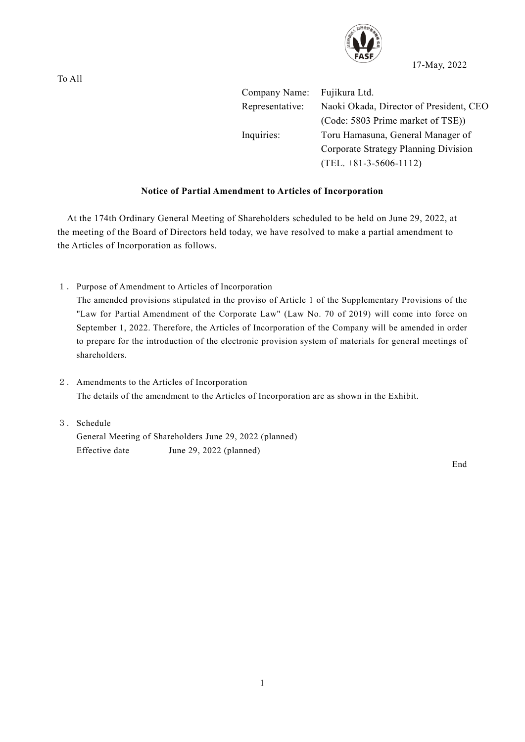

17-May, 2022

Company Name: Fujikura Ltd. Representative: Naoki Okada, Director of President, CEO (Code: 5803 Prime market of TSE)) Inquiries: Toru Hamasuna, General Manager of Corporate Strategy Planning Division (TEL. +81-3-5606-1112)

## **Notice of Partial Amendment to Articles of Incorporation**

At the 174th Ordinary General Meeting of Shareholders scheduled to be held on June 29, 2022, at the meeting of the Board of Directors held today, we have resolved to make a partial amendment to the Articles of Incorporation as follows.

1.Purpose of Amendment to Articles of Incorporation

The amended provisions stipulated in the proviso of Article 1 of the Supplementary Provisions of the "Law for Partial Amendment of the Corporate Law" (Law No. 70 of 2019) will come into force on September 1, 2022. Therefore, the Articles of Incorporation of the Company will be amended in order to prepare for the introduction of the electronic provision system of materials for general meetings of shareholders.

- 2.Amendments to the Articles of Incorporation The details of the amendment to the Articles of Incorporation are as shown in the Exhibit.
- 3.Schedule General Meeting of Shareholders June 29, 2022 (planned) Effective date June 29, 2022 (planned)

End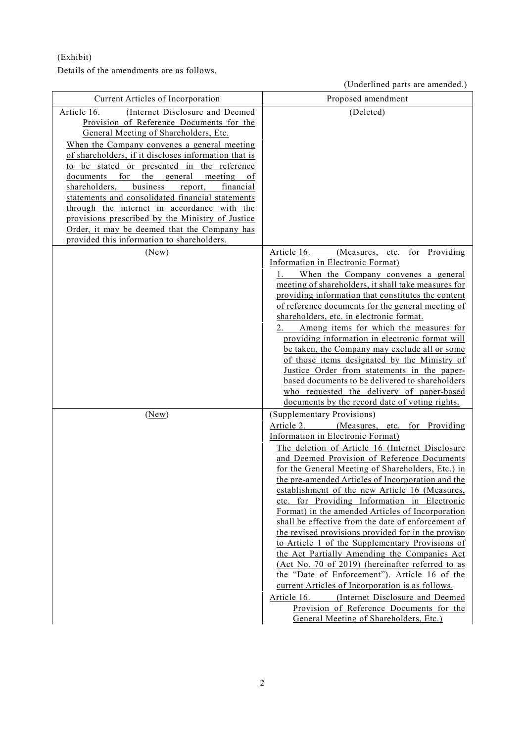(Exhibit)

Details of the amendments are as follows.

(Underlined parts are amended.)

|                                                                                                                                                                                                                                                                                                                                                                                                                                                                                                                                                                                                                                                           | $\alpha$ condentified parts are amended.                                                                                                                                                                                                                                                                                                                                                                                                                                                                                                                                                                                                                                                                                                                                                                                                                                                                                                                                                         |
|-----------------------------------------------------------------------------------------------------------------------------------------------------------------------------------------------------------------------------------------------------------------------------------------------------------------------------------------------------------------------------------------------------------------------------------------------------------------------------------------------------------------------------------------------------------------------------------------------------------------------------------------------------------|--------------------------------------------------------------------------------------------------------------------------------------------------------------------------------------------------------------------------------------------------------------------------------------------------------------------------------------------------------------------------------------------------------------------------------------------------------------------------------------------------------------------------------------------------------------------------------------------------------------------------------------------------------------------------------------------------------------------------------------------------------------------------------------------------------------------------------------------------------------------------------------------------------------------------------------------------------------------------------------------------|
| Current Articles of Incorporation                                                                                                                                                                                                                                                                                                                                                                                                                                                                                                                                                                                                                         | Proposed amendment                                                                                                                                                                                                                                                                                                                                                                                                                                                                                                                                                                                                                                                                                                                                                                                                                                                                                                                                                                               |
| Article 16.<br>(Internet Disclosure and Deemed<br>Provision of Reference Documents for the<br>General Meeting of Shareholders, Etc.<br>When the Company convenes a general meeting<br>of shareholders, if it discloses information that is<br>to be stated or presented in the reference<br>the<br>documents<br>for<br>general<br>meeting<br>of<br>business<br>shareholders,<br>report,<br>financial<br>statements and consolidated financial statements<br>through the internet in accordance with the<br>provisions prescribed by the Ministry of Justice<br>Order, it may be deemed that the Company has<br>provided this information to shareholders. | (Deleted)                                                                                                                                                                                                                                                                                                                                                                                                                                                                                                                                                                                                                                                                                                                                                                                                                                                                                                                                                                                        |
| (New)                                                                                                                                                                                                                                                                                                                                                                                                                                                                                                                                                                                                                                                     | Article 16.<br>(Measures, etc.<br>for Providing<br>Information in Electronic Format)<br>When the Company convenes a general<br>meeting of shareholders, it shall take measures for<br>providing information that constitutes the content<br>of reference documents for the general meeting of<br>shareholders, etc. in electronic format.<br>Among items for which the measures for<br>providing information in electronic format will<br>be taken, the Company may exclude all or some<br>of those items designated by the Ministry of<br>Justice Order from statements in the paper-<br>based documents to be delivered to shareholders<br>who requested the delivery of paper-based<br>documents by the record date of voting rights.                                                                                                                                                                                                                                                         |
| (New)                                                                                                                                                                                                                                                                                                                                                                                                                                                                                                                                                                                                                                                     | (Supplementary Provisions)<br>Article 2.<br>(Measures, etc. for Providing<br>Information in Electronic Format)<br>The deletion of Article 16 (Internet Disclosure<br>and Deemed Provision of Reference Documents<br>for the General Meeting of Shareholders, Etc.) in<br>the pre-amended Articles of Incorporation and the<br>establishment of the new Article 16 (Measures,<br>etc. for Providing Information in Electronic<br>Format) in the amended Articles of Incorporation<br>shall be effective from the date of enforcement of<br>the revised provisions provided for in the proviso<br>to Article 1 of the Supplementary Provisions of<br>the Act Partially Amending the Companies Act<br>(Act No. 70 of 2019) (hereinafter referred to as<br>the "Date of Enforcement"). Article 16 of the<br>current Articles of Incorporation is as follows.<br>(Internet Disclosure and Deemed<br>Article 16.<br>Provision of Reference Documents for the<br>General Meeting of Shareholders, Etc.) |